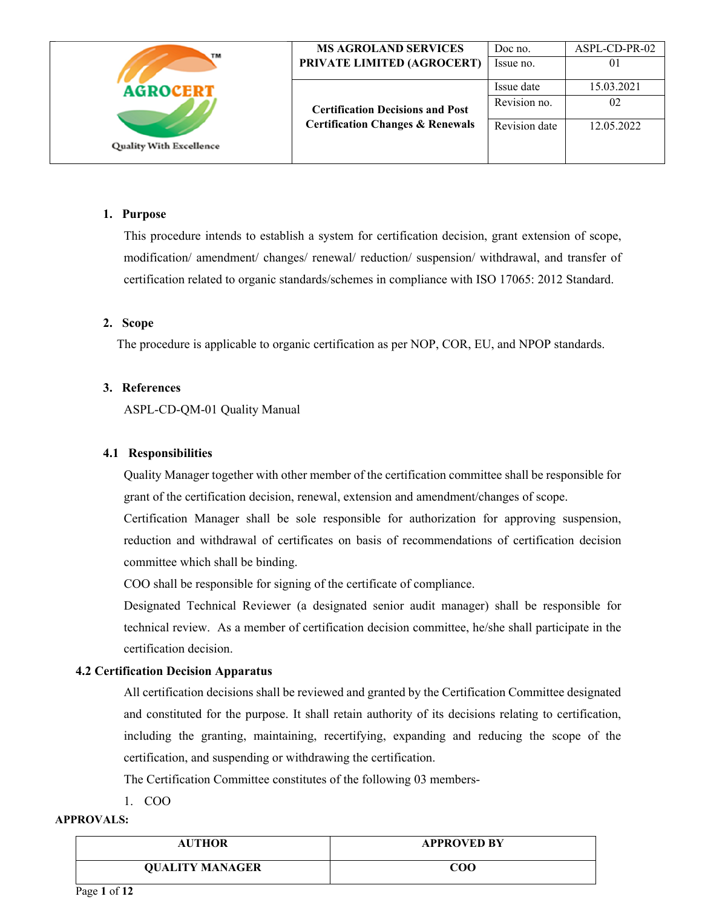| TM                             | <b>MS AGROLAND SERVICES</b>                 | Doc no.       | ASPL-CD-PR-02 |
|--------------------------------|---------------------------------------------|---------------|---------------|
|                                | PRIVATE LIMITED (AGROCERT)                  | Issue no.     | 01            |
| <b>AGROCERT</b>                |                                             | Issue date    | 15.03.2021    |
|                                | <b>Certification Decisions and Post</b>     | Revision no.  | 02            |
| <b>Quality With Excellence</b> | <b>Certification Changes &amp; Renewals</b> | Revision date | 12.05.2022    |
|                                |                                             |               |               |

### **1. Purpose**

This procedure intends to establish a system for certification decision, grant extension of scope, modification/ amendment/ changes/ renewal/ reduction/ suspension/ withdrawal, and transfer of certification related to organic standards/schemes in compliance with ISO 17065: 2012 Standard.

### **2. Scope**

The procedure is applicable to organic certification as per NOP, COR, EU, and NPOP standards.

### **3. References**

ASPL-CD-QM-01 Quality Manual

### **4.1 Responsibilities**

Quality Manager together with other member of the certification committee shall be responsible for grant of the certification decision, renewal, extension and amendment/changes of scope.

Certification Manager shall be sole responsible for authorization for approving suspension, reduction and withdrawal of certificates on basis of recommendations of certification decision committee which shall be binding.

COO shall be responsible for signing of the certificate of compliance.

Designated Technical Reviewer (a designated senior audit manager) shall be responsible for technical review. As a member of certification decision committee, he/she shall participate in the certification decision.

## **4.2 Certification Decision Apparatus**

All certification decisions shall be reviewed and granted by the Certification Committee designated and constituted for the purpose. It shall retain authority of its decisions relating to certification, including the granting, maintaining, recertifying, expanding and reducing the scope of the certification, and suspending or withdrawing the certification.

The Certification Committee constitutes of the following 03 members-

1. COO

| <b>AUTHOR</b>          | <b>APPROVED BY</b> |
|------------------------|--------------------|
| <b>QUALITY MANAGER</b> | COO                |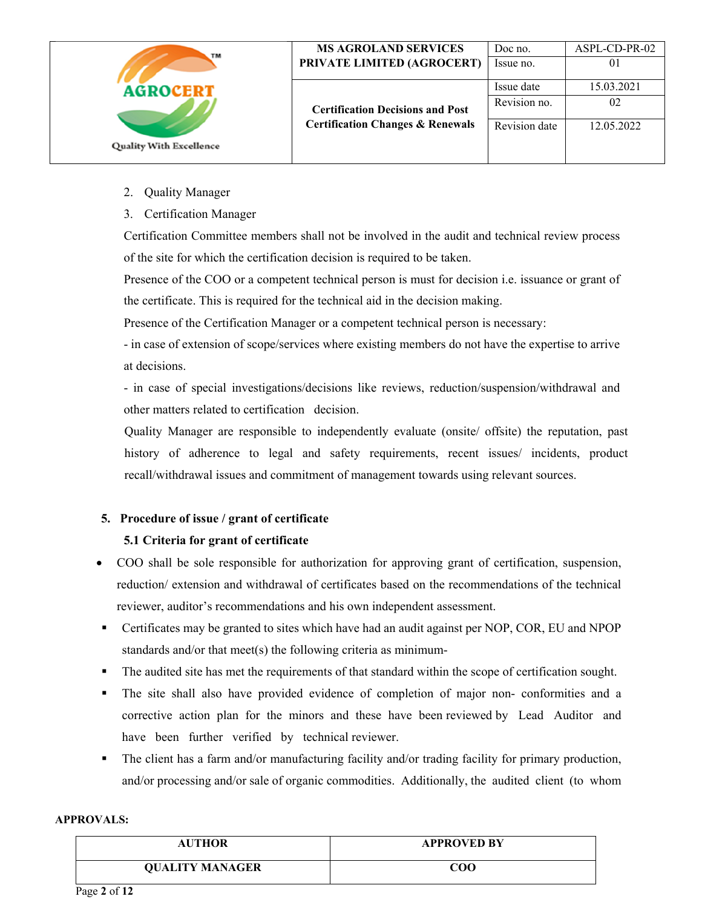| TМ                             | <b>MS AGROLAND SERVICES</b><br>PRIVATE LIMITED (AGROCERT) | Doc no.<br>Issue no.       | ASPL-CD-PR-02<br>0 <sup>1</sup> |
|--------------------------------|-----------------------------------------------------------|----------------------------|---------------------------------|
| <b>AGROCERT</b>                | <b>Certification Decisions and Post</b>                   | Issue date<br>Revision no. | 15.03.2021<br>02                |
| <b>Quality With Excellence</b> | <b>Certification Changes &amp; Renewals</b>               | Revision date              | 12.05.2022                      |

- 2. Quality Manager
- 3. Certification Manager

Certification Committee members shall not be involved in the audit and technical review process of the site for which the certification decision is required to be taken.

Presence of the COO or a competent technical person is must for decision i.e. issuance or grant of the certificate. This is required for the technical aid in the decision making.

Presence of the Certification Manager or a competent technical person is necessary:

- in case of extension of scope/services where existing members do not have the expertise to arrive at decisions.

- in case of special investigations/decisions like reviews, reduction/suspension/withdrawal and other matters related to certification decision.

Quality Manager are responsible to independently evaluate (onsite/ offsite) the reputation, past history of adherence to legal and safety requirements, recent issues/ incidents, product recall/withdrawal issues and commitment of management towards using relevant sources.

# **5. Procedure of issue / grant of certificate**

## **5.1 Criteria for grant of certificate**

- COO shall be sole responsible for authorization for approving grant of certification, suspension, reduction/ extension and withdrawal of certificates based on the recommendations of the technical reviewer, auditor's recommendations and his own independent assessment.
- Certificates may be granted to sites which have had an audit against per NOP, COR, EU and NPOP standards and/or that meet(s) the following criteria as minimum-
- The audited site has met the requirements of that standard within the scope of certification sought.
- The site shall also have provided evidence of completion of major non- conformities and a corrective action plan for the minors and these have been reviewed by Lead Auditor and have been further verified by technical reviewer.
- The client has a farm and/or manufacturing facility and/or trading facility for primary production, and/or processing and/or sale of organic commodities. Additionally, the audited client (to whom

| <b>AUTHOR</b>          | <b>APPROVED BY</b> |
|------------------------|--------------------|
| <b>QUALITY MANAGER</b> | COO                |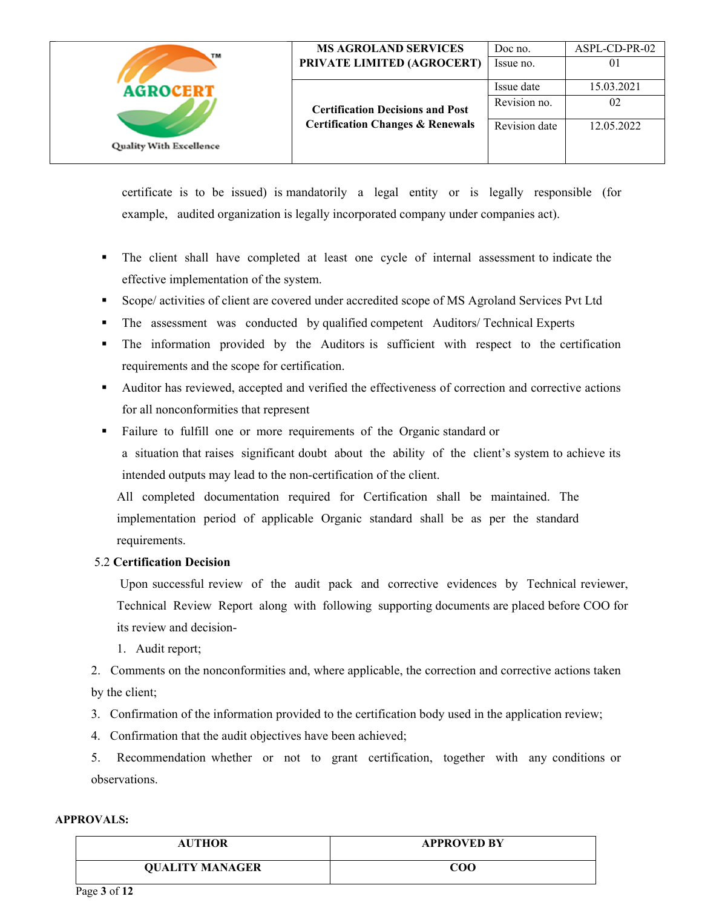| TM                             | <b>MS AGROLAND SERVICES</b>                 | Doc no.       | ASPL-CD-PR-02 |
|--------------------------------|---------------------------------------------|---------------|---------------|
|                                | PRIVATE LIMITED (AGROCERT)                  | Issue no.     | 01            |
| <b>AGROCERT</b>                |                                             | Issue date    | 15.03.2021    |
|                                | <b>Certification Decisions and Post</b>     | Revision no.  | 02            |
| <b>Quality With Excellence</b> | <b>Certification Changes &amp; Renewals</b> | Revision date | 12.05.2022    |
|                                |                                             |               |               |

certificate is to be issued) is mandatorily a legal entity or is legally responsible (for example, audited organization is legally incorporated company under companies act).

- The client shall have completed at least one cycle of internal assessment to indicate the effective implementation of the system.
- Scope/ activities of client are covered under accredited scope of MS Agroland Services Pvt Ltd
- The assessment was conducted by qualified competent Auditors/ Technical Experts
- The information provided by the Auditors is sufficient with respect to the certification requirements and the scope for certification.
- Auditor has reviewed, accepted and verified the effectiveness of correction and corrective actions for all nonconformities that represent
- Failure to fulfill one or more requirements of the Organic standard or a situation that raises significant doubt about the ability of the client's system to achieve its intended outputs may lead to the non-certification of the client.

All completed documentation required for Certification shall be maintained. The implementation period of applicable Organic standard shall be as per the standard requirements.

## 5.2 **Certification Decision**

 Upon successful review of the audit pack and corrective evidences by Technical reviewer, Technical Review Report along with following supporting documents are placed before COO for its review and decision-

1. Audit report;

2. Comments on the nonconformities and, where applicable, the correction and corrective actions taken by the client;

3. Confirmation of the information provided to the certification body used in the application review;

4. Confirmation that the audit objectives have been achieved;

5. Recommendation whether or not to grant certification, together with any conditions or observations.

| <b>AUTHOR</b>          | <b>APPROVED BY</b>               |
|------------------------|----------------------------------|
| <b>QUALITY MANAGER</b> | $\mathbf{C}\mathbf{O}\mathbf{O}$ |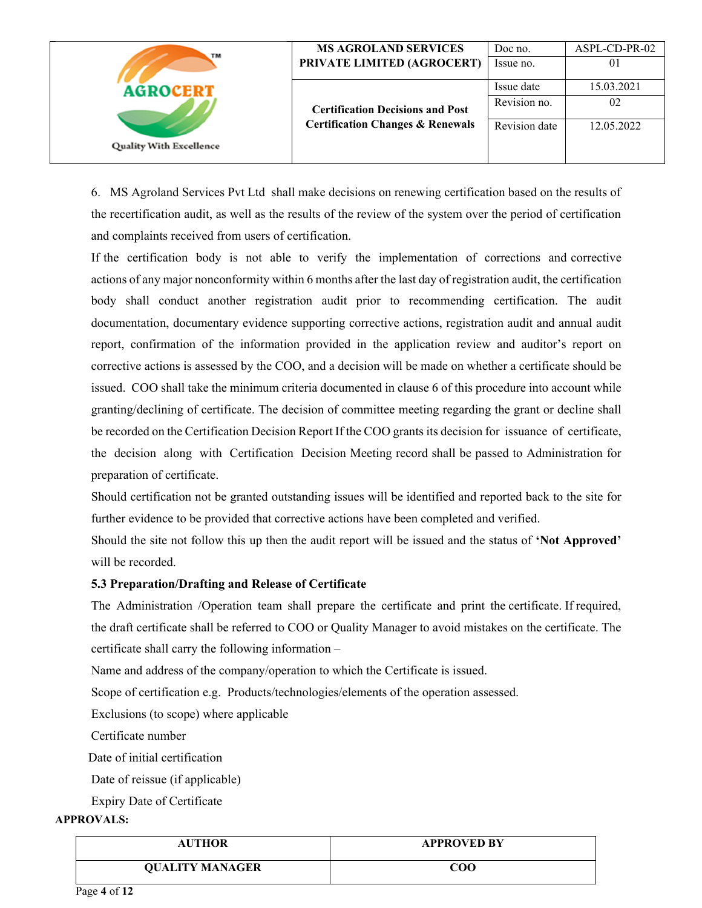| TM                             | <b>MS AGROLAND SERVICES</b>                 | Doc no.       | ASPL-CD-PR-02 |
|--------------------------------|---------------------------------------------|---------------|---------------|
|                                | PRIVATE LIMITED (AGROCERT)                  | Issue no.     | 01            |
| <b>AGROCERT</b>                |                                             | Issue date    | 15.03.2021    |
|                                | <b>Certification Decisions and Post</b>     | Revision no.  | 02            |
|                                | <b>Certification Changes &amp; Renewals</b> | Revision date | 12.05.2022    |
| <b>Quality With Excellence</b> |                                             |               |               |

6. MS Agroland Services Pvt Ltd shall make decisions on renewing certification based on the results of the recertification audit, as well as the results of the review of the system over the period of certification and complaints received from users of certification.

If the certification body is not able to verify the implementation of corrections and corrective actions of any major nonconformity within 6 months after the last day of registration audit, the certification body shall conduct another registration audit prior to recommending certification. The audit documentation, documentary evidence supporting corrective actions, registration audit and annual audit report, confirmation of the information provided in the application review and auditor's report on corrective actions is assessed by the COO, and a decision will be made on whether a certificate should be issued. COO shall take the minimum criteria documented in clause 6 of this procedure into account while granting/declining of certificate. The decision of committee meeting regarding the grant or decline shall be recorded on the Certification Decision Report If the COO grants its decision for issuance of certificate, the decision along with Certification Decision Meeting record shall be passed to Administration for preparation of certificate.

Should certification not be granted outstanding issues will be identified and reported back to the site for further evidence to be provided that corrective actions have been completed and verified.

Should the site not follow this up then the audit report will be issued and the status of **'Not Approved'**  will be recorded.

### **5.3 Preparation/Drafting and Release of Certificate**

The Administration /Operation team shall prepare the certificate and print the certificate. If required, the draft certificate shall be referred to COO or Quality Manager to avoid mistakes on the certificate. The certificate shall carry the following information –

Name and address of the company/operation to which the Certificate is issued.

Scope of certification e.g. Products/technologies/elements of the operation assessed.

Exclusions (to scope) where applicable

Certificate number

Date of initial certification

Date of reissue (if applicable)

Expiry Date of Certificate

| <b>AUTHOR</b>          | <b>APPROVED BY</b> |
|------------------------|--------------------|
| <b>QUALITY MANAGER</b> | COO                |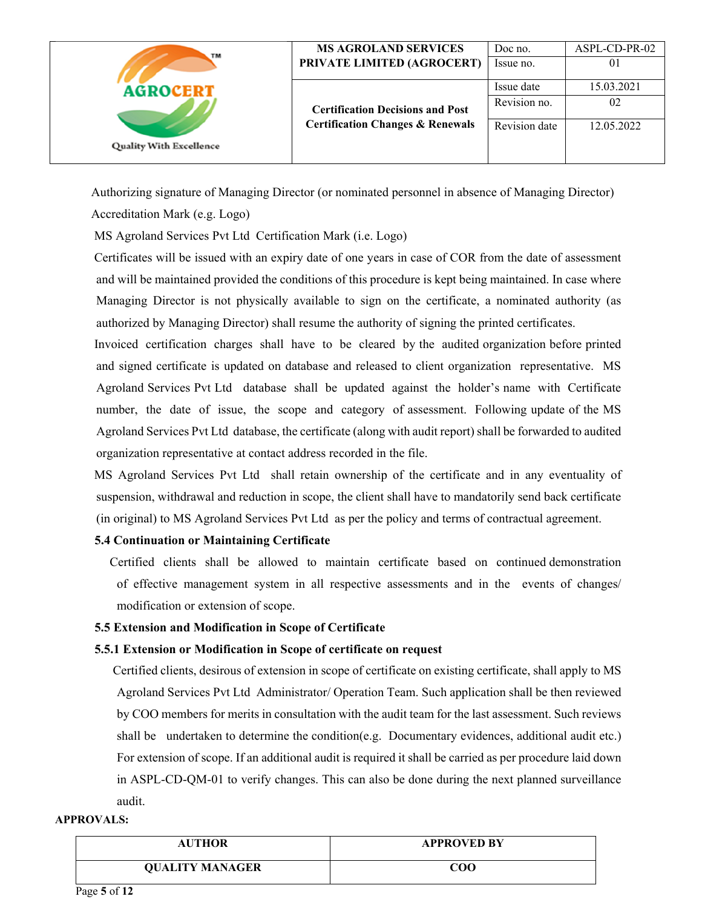| TM                             | <b>MS AGROLAND SERVICES</b>                 | Doc no.       | ASPL-CD-PR-02 |
|--------------------------------|---------------------------------------------|---------------|---------------|
|                                | PRIVATE LIMITED (AGROCERT)                  | Issue no.     | 01            |
| <b>AGROCERT</b>                |                                             | Issue date    | 15.03.2021    |
|                                | <b>Certification Decisions and Post</b>     | Revision no.  | 02            |
| <b>Quality With Excellence</b> | <b>Certification Changes &amp; Renewals</b> | Revision date | 12.05.2022    |
|                                |                                             |               |               |

Authorizing signature of Managing Director (or nominated personnel in absence of Managing Director)

Accreditation Mark (e.g. Logo)

MS Agroland Services Pvt Ltd Certification Mark (i.e. Logo)

 Certificates will be issued with an expiry date of one years in case of COR from the date of assessment and will be maintained provided the conditions of this procedure is kept being maintained. In case where Managing Director is not physically available to sign on the certificate, a nominated authority (as authorized by Managing Director) shall resume the authority of signing the printed certificates.

 Invoiced certification charges shall have to be cleared by the audited organization before printed and signed certificate is updated on database and released to client organization representative. MS Agroland Services Pvt Ltd database shall be updated against the holder's name with Certificate number, the date of issue, the scope and category of assessment. Following update of the MS Agroland Services Pvt Ltd database, the certificate (along with audit report) shall be forwarded to audited organization representative at contact address recorded in the file.

 MS Agroland Services Pvt Ltd shall retain ownership of the certificate and in any eventuality of suspension, withdrawal and reduction in scope, the client shall have to mandatorily send back certificate (in original) to MS Agroland Services Pvt Ltd as per the policy and terms of contractual agreement.

## **5.4 Continuation or Maintaining Certificate**

 Certified clients shall be allowed to maintain certificate based on continued demonstration of effective management system in all respective assessments and in the events of changes/ modification or extension of scope.

### **5.5 Extension and Modification in Scope of Certificate**

### **5.5.1 Extension or Modification in Scope of certificate on request**

 Certified clients, desirous of extension in scope of certificate on existing certificate, shall apply to MS Agroland Services Pvt Ltd Administrator/ Operation Team. Such application shall be then reviewed by COO members for merits in consultation with the audit team for the last assessment. Such reviews shall be undertaken to determine the condition(e.g. Documentary evidences, additional audit etc.) For extension of scope. If an additional audit is required it shall be carried as per procedure laid down in ASPL-CD-QM-01 to verify changes. This can also be done during the next planned surveillance audit.

| <b>AUTHOR</b>          | <b>APPROVED BY</b> |
|------------------------|--------------------|
| <b>QUALITY MANAGER</b> | COO                |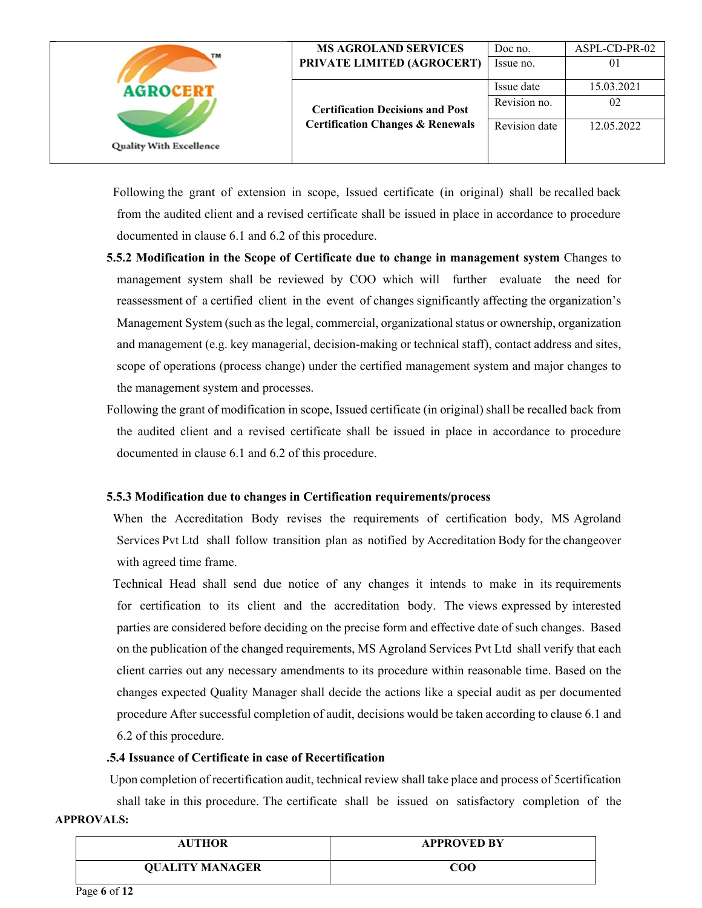| TM                             | <b>MS AGROLAND SERVICES</b><br>PRIVATE LIMITED (AGROCERT) | Doc no.<br>Issue no.       | ASPL-CD-PR-02<br>01 |
|--------------------------------|-----------------------------------------------------------|----------------------------|---------------------|
| <b>AGROCERT</b>                | <b>Certification Decisions and Post</b>                   | Issue date<br>Revision no. | 15.03.2021<br>02    |
| <b>Quality With Excellence</b> | <b>Certification Changes &amp; Renewals</b>               | Revision date              | 12.05.2022          |

 Following the grant of extension in scope, Issued certificate (in original) shall be recalled back from the audited client and a revised certificate shall be issued in place in accordance to procedure documented in clause 6.1 and 6.2 of this procedure.

- **5.5.2 Modification in the Scope of Certificate due to change in management system** Changes to management system shall be reviewed by COO which will further evaluate the need for reassessment of a certified client in the event of changes significantly affecting the organization's Management System (such as the legal, commercial, organizational status or ownership, organization and management (e.g. key managerial, decision-making or technical staff), contact address and sites, scope of operations (process change) under the certified management system and major changes to the management system and processes.
- Following the grant of modification in scope, Issued certificate (in original) shall be recalled back from the audited client and a revised certificate shall be issued in place in accordance to procedure documented in clause 6.1 and 6.2 of this procedure.

### **5.5.3 Modification due to changes in Certification requirements/process**

 When the Accreditation Body revises the requirements of certification body, MS Agroland Services Pvt Ltd shall follow transition plan as notified by Accreditation Body for the changeover with agreed time frame.

 Technical Head shall send due notice of any changes it intends to make in its requirements for certification to its client and the accreditation body. The views expressed by interested parties are considered before deciding on the precise form and effective date of such changes. Based on the publication of the changed requirements, MS Agroland Services Pvt Ltd shall verify that each client carries out any necessary amendments to its procedure within reasonable time. Based on the changes expected Quality Manager shall decide the actions like a special audit as per documented procedure After successful completion of audit, decisions would be taken according to clause 6.1 and 6.2 of this procedure.

#### **.5.4 Issuance of Certificate in case of Recertification**

**APPROVALS:**  Upon completion of recertification audit, technical review shall take place and process of 5certification shall take in this procedure. The certificate shall be issued on satisfactory completion of the

| <b>AUTHOR</b>          | <b>APPROVED BY</b> |
|------------------------|--------------------|
| <b>QUALITY MANAGER</b> | COO                |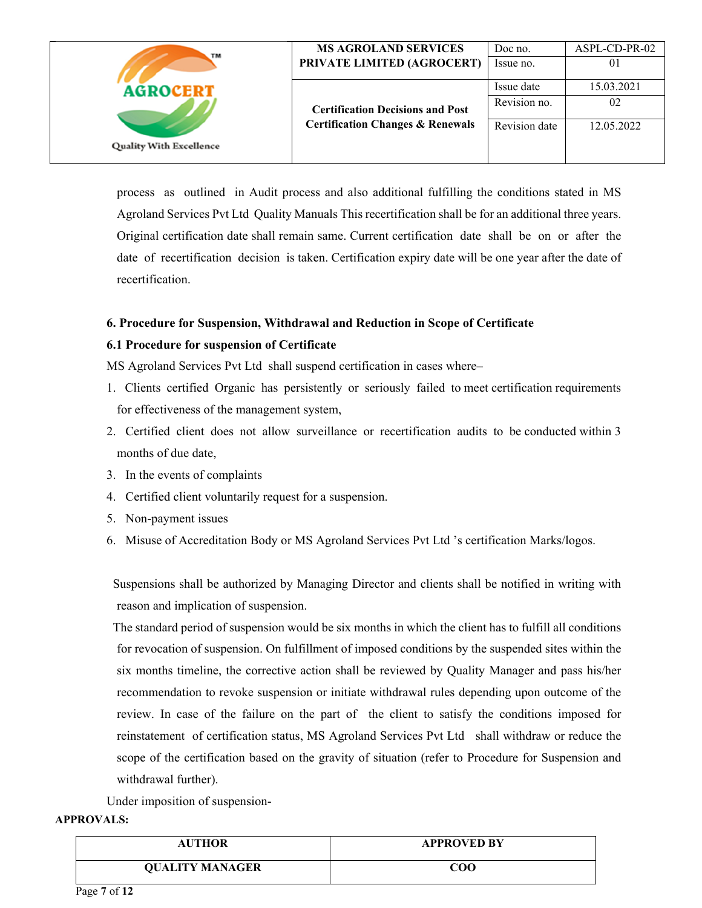| TM                                                | <b>MS AGROLAND SERVICES</b>                 | Doc no.       | ASPL-CD-PR-02 |
|---------------------------------------------------|---------------------------------------------|---------------|---------------|
| <b>AGROCERT</b><br><b>Quality With Excellence</b> | PRIVATE LIMITED (AGROCERT)                  | Issue no.     | 01            |
|                                                   |                                             | Issue date    | 15.03.2021    |
|                                                   | <b>Certification Decisions and Post</b>     | Revision no.  | 02            |
|                                                   | <b>Certification Changes &amp; Renewals</b> | Revision date | 12.05.2022    |
|                                                   |                                             |               |               |

process as outlined in Audit process and also additional fulfilling the conditions stated in MS Agroland Services Pvt Ltd Quality Manuals This recertification shall be for an additional three years. Original certification date shall remain same. Current certification date shall be on or after the date of recertification decision is taken. Certification expiry date will be one year after the date of recertification.

### **6. Procedure for Suspension, Withdrawal and Reduction in Scope of Certificate**

### **6.1 Procedure for suspension of Certificate**

MS Agroland Services Pvt Ltd shall suspend certification in cases where–

- 1. Clients certified Organic has persistently or seriously failed to meet certification requirements for effectiveness of the management system,
- 2. Certified client does not allow surveillance or recertification audits to be conducted within 3 months of due date,
- 3. In the events of complaints
- 4. Certified client voluntarily request for a suspension.
- 5. Non-payment issues
- 6. Misuse of Accreditation Body or MS Agroland Services Pvt Ltd 's certification Marks/logos.

 Suspensions shall be authorized by Managing Director and clients shall be notified in writing with reason and implication of suspension.

 The standard period of suspension would be six months in which the client has to fulfill all conditions for revocation of suspension. On fulfillment of imposed conditions by the suspended sites within the six months timeline, the corrective action shall be reviewed by Quality Manager and pass his/her recommendation to revoke suspension or initiate withdrawal rules depending upon outcome of the review. In case of the failure on the part of the client to satisfy the conditions imposed for reinstatement of certification status, MS Agroland Services Pvt Ltd shall withdraw or reduce the scope of the certification based on the gravity of situation (refer to Procedure for Suspension and withdrawal further).

Under imposition of suspension-

| <b>AUTHOR</b>          | <b>APPROVED BY</b> |
|------------------------|--------------------|
| <b>QUALITY MANAGER</b> | $_{\rm COO}$       |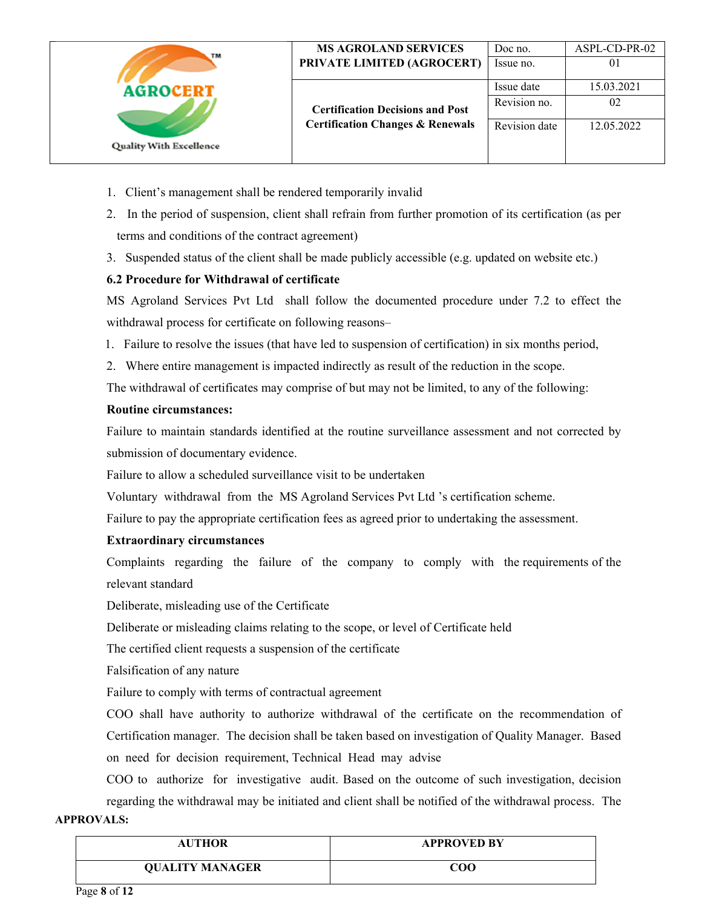| TM                             | <b>MS AGROLAND SERVICES</b><br>PRIVATE LIMITED (AGROCERT) | Doc no.<br>Issue no.       | ASPL-CD-PR-02<br>0 <sub>1</sub> |
|--------------------------------|-----------------------------------------------------------|----------------------------|---------------------------------|
| <b>AGROCERT</b>                | <b>Certification Decisions and Post</b>                   | Issue date<br>Revision no. | 15.03.2021<br>02                |
| <b>Quality With Excellence</b> | <b>Certification Changes &amp; Renewals</b>               | Revision date              | 12.05.2022                      |

- 1. Client's management shall be rendered temporarily invalid
- 2. In the period of suspension, client shall refrain from further promotion of its certification (as per terms and conditions of the contract agreement)
- 3. Suspended status of the client shall be made publicly accessible (e.g. updated on website etc.)

## **6.2 Procedure for Withdrawal of certificate**

MS Agroland Services Pvt Ltd shall follow the documented procedure under 7.2 to effect the withdrawal process for certificate on following reasons–

- 1. Failure to resolve the issues (that have led to suspension of certification) in six months period,
- 2. Where entire management is impacted indirectly as result of the reduction in the scope.
- The withdrawal of certificates may comprise of but may not be limited, to any of the following:

## **Routine circumstances:**

 Failure to maintain standards identified at the routine surveillance assessment and not corrected by submission of documentary evidence.

Failure to allow a scheduled surveillance visit to be undertaken

Voluntary withdrawal from the MS Agroland Services Pvt Ltd 's certification scheme.

Failure to pay the appropriate certification fees as agreed prior to undertaking the assessment.

## **Extraordinary circumstances**

 Complaints regarding the failure of the company to comply with the requirements of the relevant standard

Deliberate, misleading use of the Certificate

Deliberate or misleading claims relating to the scope, or level of Certificate held

The certified client requests a suspension of the certificate

Falsification of any nature

Failure to comply with terms of contractual agreement

COO shall have authority to authorize withdrawal of the certificate on the recommendation of Certification manager. The decision shall be taken based on investigation of Quality Manager. Based on need for decision requirement, Technical Head may advise

COO to authorize for investigative audit. Based on the outcome of such investigation, decision regarding the withdrawal may be initiated and client shall be notified of the withdrawal process. The

| <b>AUTHOR</b>          | <b>APPROVED BY</b>               |
|------------------------|----------------------------------|
| <b>QUALITY MANAGER</b> | $\mathbf{C}\mathbf{O}\mathbf{O}$ |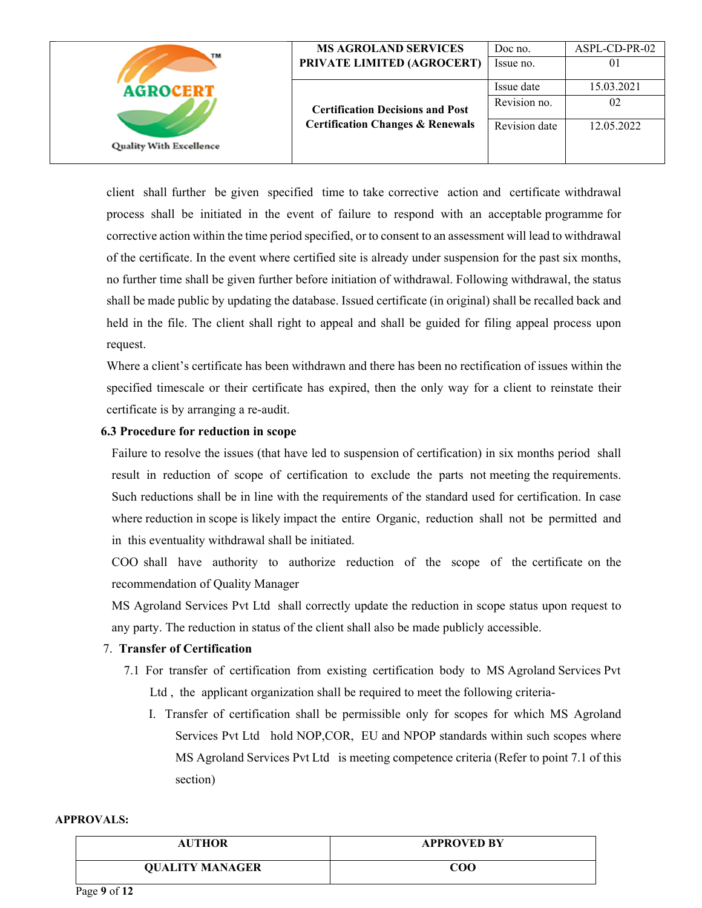| TM<br><b>AGROCERT</b><br><b>Quality With Excellence</b> | <b>MS AGROLAND SERVICES</b><br>PRIVATE LIMITED (AGROCERT) | Doc no.<br>Issue no.       | ASPL-CD-PR-02<br>01 |
|---------------------------------------------------------|-----------------------------------------------------------|----------------------------|---------------------|
|                                                         | <b>Certification Decisions and Post</b>                   | Issue date<br>Revision no. | 15.03.2021<br>02    |
|                                                         | <b>Certification Changes &amp; Renewals</b>               | Revision date              | 12.05.2022          |

client shall further be given specified time to take corrective action and certificate withdrawal process shall be initiated in the event of failure to respond with an acceptable programme for corrective action within the time period specified, or to consent to an assessment will lead to withdrawal of the certificate. In the event where certified site is already under suspension for the past six months, no further time shall be given further before initiation of withdrawal. Following withdrawal, the status shall be made public by updating the database. Issued certificate (in original) shall be recalled back and held in the file. The client shall right to appeal and shall be guided for filing appeal process upon request.

Where a client's certificate has been withdrawn and there has been no rectification of issues within the specified timescale or their certificate has expired, then the only way for a client to reinstate their certificate is by arranging a re-audit.

### **6.3 Procedure for reduction in scope**

Failure to resolve the issues (that have led to suspension of certification) in six months period shall result in reduction of scope of certification to exclude the parts not meeting the requirements. Such reductions shall be in line with the requirements of the standard used for certification. In case where reduction in scope is likely impact the entire Organic, reduction shall not be permitted and in this eventuality withdrawal shall be initiated.

COO shall have authority to authorize reduction of the scope of the certificate on the recommendation of Quality Manager

MS Agroland Services Pvt Ltd shall correctly update the reduction in scope status upon request to any party. The reduction in status of the client shall also be made publicly accessible.

### 7. **Transfer of Certification**

- 7.1 For transfer of certification from existing certification body to MS Agroland Services Pvt Ltd , the applicant organization shall be required to meet the following criteria-
	- I. Transfer of certification shall be permissible only for scopes for which MS Agroland Services Pvt Ltd hold NOP,COR, EU and NPOP standards within such scopes where MS Agroland Services Pvt Ltd is meeting competence criteria (Refer to point 7.1 of this section)

| <b>AUTHOR</b>          | <b>APPROVED BY</b> |
|------------------------|--------------------|
| <b>QUALITY MANAGER</b> | COO                |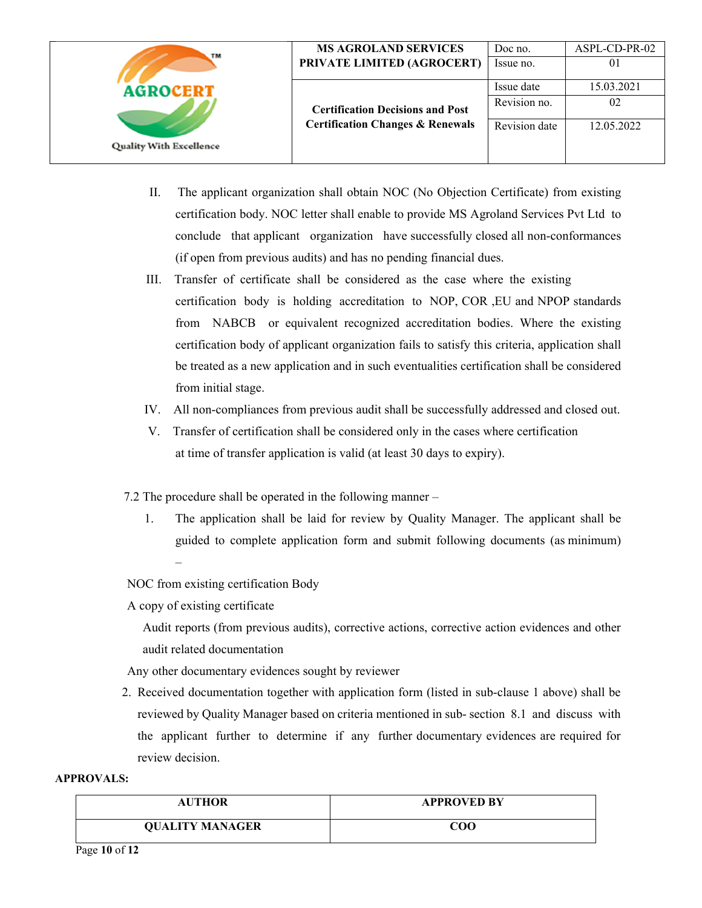| TM                             | <b>MS AGROLAND SERVICES</b>                 | Doc no.       | ASPL-CD-PR-02 |
|--------------------------------|---------------------------------------------|---------------|---------------|
|                                | PRIVATE LIMITED (AGROCERT)                  | Issue no.     | 01            |
| <b>AGROCERT</b>                |                                             | Issue date    | 15.03.2021    |
| <b>Quality With Excellence</b> | <b>Certification Decisions and Post</b>     | Revision no.  | 02            |
|                                | <b>Certification Changes &amp; Renewals</b> | Revision date | 12.05.2022    |
|                                |                                             |               |               |

- II. The applicant organization shall obtain NOC (No Objection Certificate) from existing certification body. NOC letter shall enable to provide MS Agroland Services Pvt Ltd to conclude that applicant organization have successfully closed all non-conformances (if open from previous audits) and has no pending financial dues.
- III. Transfer of certificate shall be considered as the case where the existing certification body is holding accreditation to NOP, COR ,EU and NPOP standards from NABCB or equivalent recognized accreditation bodies. Where the existing certification body of applicant organization fails to satisfy this criteria, application shall be treated as a new application and in such eventualities certification shall be considered from initial stage.
- IV. All non-compliances from previous audit shall be successfully addressed and closed out.
- V. Transfer of certification shall be considered only in the cases where certification at time of transfer application is valid (at least 30 days to expiry).
- 7.2 The procedure shall be operated in the following manner
	- 1. The application shall be laid for review by Quality Manager. The applicant shall be guided to complete application form and submit following documents (as minimum) –

NOC from existing certification Body

A copy of existing certificate

 Audit reports (from previous audits), corrective actions, corrective action evidences and other audit related documentation

Any other documentary evidences sought by reviewer

2. Received documentation together with application form (listed in sub-clause 1 above) shall be reviewed by Quality Manager based on criteria mentioned in sub- section 8.1 and discuss with the applicant further to determine if any further documentary evidences are required for review decision.

| <b>AUTHOR</b>          | <b>APPROVED BY</b> |
|------------------------|--------------------|
| <b>QUALITY MANAGER</b> | COO                |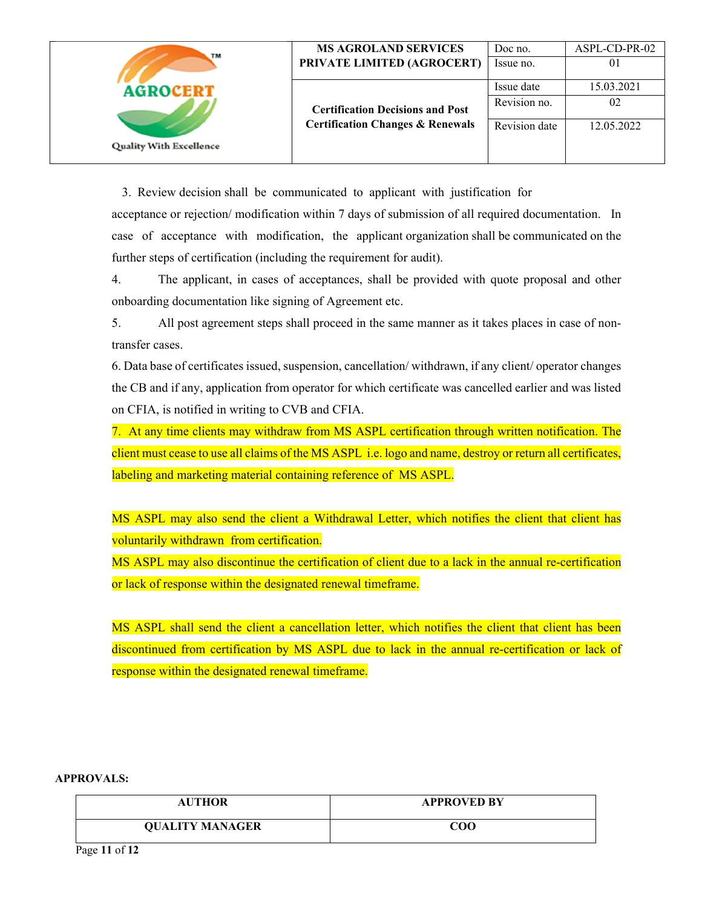| TM                                                | <b>MS AGROLAND SERVICES</b>                                                            | Doc no.                                     | ASPL-CD-PR-02                  |
|---------------------------------------------------|----------------------------------------------------------------------------------------|---------------------------------------------|--------------------------------|
|                                                   | PRIVATE LIMITED (AGROCERT)                                                             | Issue no.                                   | 01                             |
| <b>AGROCERT</b><br><b>Quality With Excellence</b> | <b>Certification Decisions and Post</b><br><b>Certification Changes &amp; Renewals</b> | Issue date<br>Revision no.<br>Revision date | 15.03.2021<br>02<br>12.05.2022 |

3. Review decision shall be communicated to applicant with justification for

acceptance or rejection/ modification within 7 days of submission of all required documentation. In case of acceptance with modification, the applicant organization shall be communicated on the further steps of certification (including the requirement for audit).

4. The applicant, in cases of acceptances, shall be provided with quote proposal and other onboarding documentation like signing of Agreement etc.

5. All post agreement steps shall proceed in the same manner as it takes places in case of nontransfer cases.

6. Data base of certificates issued, suspension, cancellation/ withdrawn, if any client/ operator changes the CB and if any, application from operator for which certificate was cancelled earlier and was listed on CFIA, is notified in writing to CVB and CFIA.

7. At any time clients may withdraw from MS ASPL certification through written notification. The client must cease to use all claims of the MS ASPL i.e. logo and name, destroy or return all certificates, labeling and marketing material containing reference of MS ASPL.

MS ASPL may also send the client a Withdrawal Letter, which notifies the client that client has voluntarily withdrawn from certification.

MS ASPL may also discontinue the certification of client due to a lack in the annual re-certification or lack of response within the designated renewal timeframe.

MS ASPL shall send the client a cancellation letter, which notifies the client that client has been discontinued from certification by MS ASPL due to lack in the annual re-certification or lack of response within the designated renewal timeframe.

#### **APPROVALS:**

| <b>AUTHOR</b>          | <b>APPROVED BY</b> |
|------------------------|--------------------|
| <b>QUALITY MANAGER</b> | COO                |

Page **11** of **12**